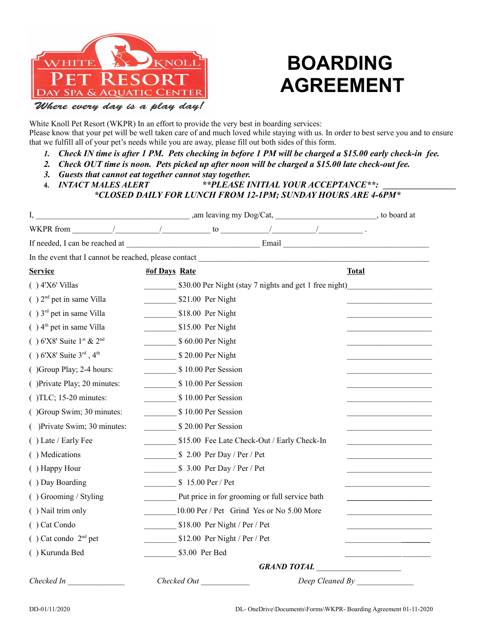

## **BOARDING AGREEMENT**

Where every day is a play day!

White Knoll Pet Resort (WKPR) In an effort to provide the very best in boarding services: Please know that your pet will be well taken care of and much loved while staying with us. In order to best serve you and to ensure that we fulfill all of your pet's needs while you are away, please fill out both sides of this form.

- *1. Check IN time is after 1 PM. Pets checking in before 1 PM will be charged a \$15.00 early check-in fee.*
- *2. Check OUT time is noon. Pets picked up after noon will be charged a \$15.00 late check-out fee.*
- *3. Guests that cannot eat together cannot stay together.*
- **4.** *INTACT MALES ALERT \*\*PLEASE INITIAL YOUR ACCEPTANCE\*\*:* **\_\_\_\_\_\_\_\_\_\_\_\_\_\_\_\_\_\_**  *\*CLOSED DAILY FOR LUNCH FROM 12-1PM; SUNDAY HOURS ARE 4-6PM\**

| <b>Service</b>                          | <b>#of Days Rate</b>              |                |                                |                                                |                                                        | <b>Total</b>    |  |
|-----------------------------------------|-----------------------------------|----------------|--------------------------------|------------------------------------------------|--------------------------------------------------------|-----------------|--|
| $( ) 4'X6'$ Villas                      |                                   |                |                                |                                                | \$30.00 Per Night (stay 7 nights and get 1 free night) |                 |  |
| $( ) 2nd$ pet in same Villa             |                                   |                | $$21.00$ Per Night             |                                                |                                                        |                 |  |
| $( ) 3rd$ pet in same Villa             |                                   |                | $$18.00$ Per Night             |                                                |                                                        |                 |  |
| $( ) 4th$ pet in same Villa             |                                   |                | $$15.00$ Per Night             |                                                |                                                        |                 |  |
| $( ) 6'X8'$ Suite 1st & 2 <sup>nd</sup> |                                   |                | $$60.00$ Per Night             |                                                |                                                        |                 |  |
| $( ) 6'X8'$ Suite $3^{rd}$ , $4^{th}$   |                                   |                | \$20.00 Per Night              |                                                |                                                        |                 |  |
| ()Group Play; 2-4 hours:                |                                   |                | \$10.00 Per Session            |                                                |                                                        |                 |  |
| () Private Play; 20 minutes:            |                                   |                | \$10.00 Per Session            |                                                |                                                        |                 |  |
| $($ )TLC; 15-20 minutes:                |                                   |                | \$10.00 Per Session            |                                                |                                                        |                 |  |
| ()Group Swim; 30 minutes:               |                                   |                | \$10.00 Per Session            |                                                |                                                        |                 |  |
| () Private Swim; 30 minutes:            |                                   |                | \$20.00 Per Session            |                                                |                                                        |                 |  |
| () Late / Early Fee                     |                                   |                |                                | \$15.00 Fee Late Check-Out / Early Check-In    |                                                        |                 |  |
| () Medications                          |                                   |                | $$2.00$ Per Day / Per / Pet    |                                                |                                                        |                 |  |
| () Happy Hour                           |                                   |                | $$3.00$ Per Day / Per / Pet    |                                                |                                                        |                 |  |
| () Day Boarding                         |                                   |                | \$15.00 Per / Pet              |                                                |                                                        |                 |  |
| () Grooming / Styling                   |                                   |                |                                | Put price in for grooming or full service bath |                                                        |                 |  |
| () Nail trim only                       |                                   |                |                                | 10.00 Per / Pet Grind Yes or No 5.00 More      |                                                        |                 |  |
| () Cat Condo                            |                                   |                | $$18.00$ Per Night / Per / Pet |                                                |                                                        |                 |  |
| $( )$ Cat condo $2nd$ pet               |                                   |                | $$12.00$ Per Night / Per / Pet |                                                |                                                        |                 |  |
| () Kurunda Bed                          |                                   | \$3.00 Per Bed |                                |                                                |                                                        |                 |  |
|                                         | GRAND TOTAL _____________________ |                |                                |                                                |                                                        |                 |  |
| Checked In                              |                                   |                | Checked Out                    |                                                |                                                        | Deep Cleaned By |  |